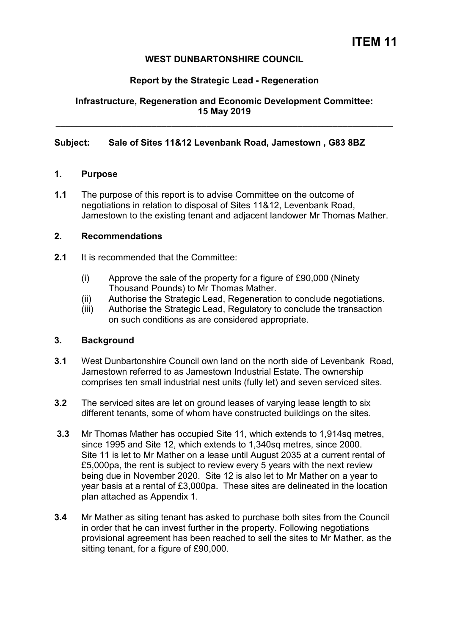# **WEST DUNBARTONSHIRE COUNCIL**

## **Report by the Strategic Lead - Regeneration**

**Infrastructure, Regeneration and Economic Development Committee: 15 May 2019** 

**\_\_\_\_\_\_\_\_\_\_\_\_\_\_\_\_\_\_\_\_\_\_\_\_\_\_\_\_\_\_\_\_\_\_\_\_\_\_\_\_\_\_\_\_\_\_\_\_\_\_\_\_\_\_\_\_\_\_\_\_\_\_\_\_\_\_\_** 

#### **Subject: Sale of Sites 11&12 Levenbank Road, Jamestown , G83 8BZ**

#### **1. Purpose**

**1.1** The purpose of this report is to advise Committee on the outcome of negotiations in relation to disposal of Sites 11&12, Levenbank Road, Jamestown to the existing tenant and adjacent landower Mr Thomas Mather.

#### **2. Recommendations**

- **2.1** It is recommended that the Committee:
	- (i) Approve the sale of the property for a figure of £90,000 (Ninety Thousand Pounds) to Mr Thomas Mather.
	- (ii) Authorise the Strategic Lead, Regeneration to conclude negotiations.
	- (iii) Authorise the Strategic Lead, Regulatory to conclude the transaction on such conditions as are considered appropriate.

## **3. Background**

- **3.1** West Dunbartonshire Council own land on the north side of Levenbank Road, Jamestown referred to as Jamestown Industrial Estate. The ownership comprises ten small industrial nest units (fully let) and seven serviced sites.
- **3.2** The serviced sites are let on ground leases of varying lease length to six different tenants, some of whom have constructed buildings on the sites.
- **3.3** Mr Thomas Mather has occupied Site 11, which extends to 1,914sq metres, since 1995 and Site 12, which extends to 1,340sq metres, since 2000. Site 11 is let to Mr Mather on a lease until August 2035 at a current rental of £5,000pa, the rent is subject to review every 5 years with the next review being due in November 2020. Site 12 is also let to Mr Mather on a year to year basis at a rental of £3,000pa. These sites are delineated in the location plan attached as Appendix 1.
- **3.4** Mr Mather as siting tenant has asked to purchase both sites from the Council in order that he can invest further in the property. Following negotiations provisional agreement has been reached to sell the sites to Mr Mather, as the sitting tenant, for a figure of £90,000.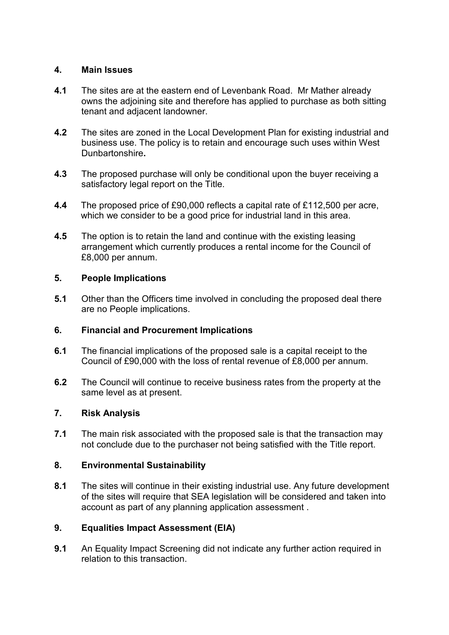# **4. Main Issues**

- **4.1** The sites are at the eastern end of Levenbank Road. Mr Mather already owns the adjoining site and therefore has applied to purchase as both sitting tenant and adjacent landowner.
- **4.2** The sites are zoned in the Local Development Plan for existing industrial and business use. The policy is to retain and encourage such uses within West Dunbartonshire**.**
- **4.3** The proposed purchase will only be conditional upon the buyer receiving a satisfactory legal report on the Title.
- **4.4** The proposed price of £90,000 reflects a capital rate of £112,500 per acre, which we consider to be a good price for industrial land in this area.
- **4.5** The option is to retain the land and continue with the existing leasing arrangement which currently produces a rental income for the Council of £8,000 per annum.

# **5. People Implications**

**5.1** Other than the Officers time involved in concluding the proposed deal there are no People implications.

# **6. Financial and Procurement Implications**

- **6.1** The financial implications of the proposed sale is a capital receipt to the Council of £90,000 with the loss of rental revenue of £8,000 per annum.
- **6.2** The Council will continue to receive business rates from the property at the same level as at present.

## **7. Risk Analysis**

**7.1** The main risk associated with the proposed sale is that the transaction may not conclude due to the purchaser not being satisfied with the Title report.

## **8. Environmental Sustainability**

**8.1** The sites will continue in their existing industrial use. Any future development of the sites will require that SEA legislation will be considered and taken into account as part of any planning application assessment .

# **9. Equalities Impact Assessment (EIA)**

**9.1** An Equality Impact Screening did not indicate any further action required in relation to this transaction.